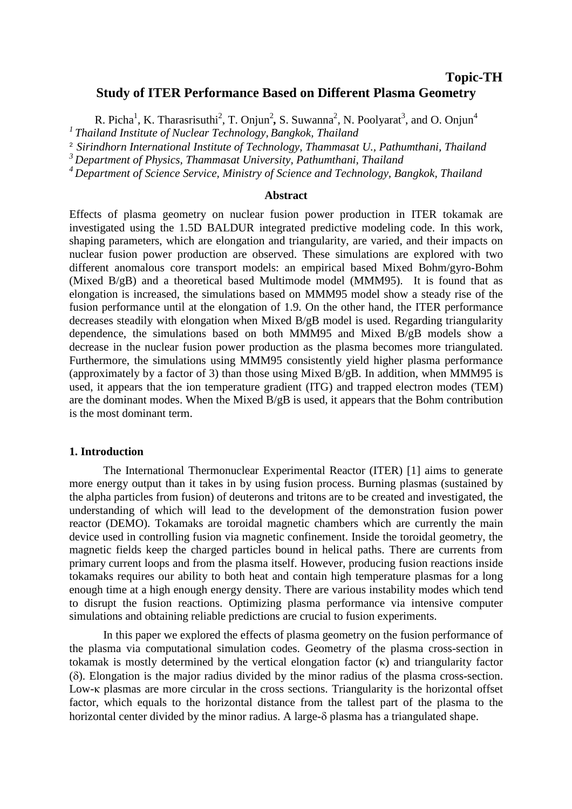# **Topic-TH Study of ITER Performance Based on Different Plasma Geometry**

R. Picha<sup>1</sup>, K. Tharasrisuthi<sup>2</sup>, T. Onjun<sup>2</sup>, S. Suwanna<sup>2</sup>, N. Poolyarat<sup>3</sup>, and O. Onjun<sup>4</sup> *<sup>1</sup>Thailand Institute of Nuclear Technology, Bangkok, Thailand* 

<sup>2</sup>*Sirindhorn International Institute of Technology, Thammasat U., Pathumthani, Thailand* 

*<sup>3</sup>Department of Physics, Thammasat University, Pathumthani, Thailand* 

*<sup>4</sup>Department of Science Service, Ministry of Science and Technology, Bangkok, Thailand* 

## **Abstract**

Effects of plasma geometry on nuclear fusion power production in ITER tokamak are investigated using the 1.5D BALDUR integrated predictive modeling code. In this work, shaping parameters, which are elongation and triangularity, are varied, and their impacts on nuclear fusion power production are observed. These simulations are explored with two different anomalous core transport models: an empirical based Mixed Bohm/gyro-Bohm (Mixed B/gB) and a theoretical based Multimode model (MMM95). It is found that as elongation is increased, the simulations based on MMM95 model show a steady rise of the fusion performance until at the elongation of 1.9. On the other hand, the ITER performance decreases steadily with elongation when Mixed B/gB model is used. Regarding triangularity dependence, the simulations based on both MMM95 and Mixed B/gB models show a decrease in the nuclear fusion power production as the plasma becomes more triangulated. Furthermore, the simulations using MMM95 consistently yield higher plasma performance (approximately by a factor of 3) than those using Mixed B/gB. In addition, when MMM95 is used, it appears that the ion temperature gradient (ITG) and trapped electron modes (TEM) are the dominant modes. When the Mixed B/gB is used, it appears that the Bohm contribution is the most dominant term.

#### **1. Introduction**

The International Thermonuclear Experimental Reactor (ITER) [1] aims to generate more energy output than it takes in by using fusion process. Burning plasmas (sustained by the alpha particles from fusion) of deuterons and tritons are to be created and investigated, the understanding of which will lead to the development of the demonstration fusion power reactor (DEMO). Tokamaks are toroidal magnetic chambers which are currently the main device used in controlling fusion via magnetic confinement. Inside the toroidal geometry, the magnetic fields keep the charged particles bound in helical paths. There are currents from primary current loops and from the plasma itself. However, producing fusion reactions inside tokamaks requires our ability to both heat and contain high temperature plasmas for a long enough time at a high enough energy density. There are various instability modes which tend to disrupt the fusion reactions. Optimizing plasma performance via intensive computer simulations and obtaining reliable predictions are crucial to fusion experiments.

In this paper we explored the effects of plasma geometry on the fusion performance of the plasma via computational simulation codes. Geometry of the plasma cross-section in tokamak is mostly determined by the vertical elongation factor (κ) and triangularity factor (δ). Elongation is the major radius divided by the minor radius of the plasma cross-section. Low-κ plasmas are more circular in the cross sections. Triangularity is the horizontal offset factor, which equals to the horizontal distance from the tallest part of the plasma to the horizontal center divided by the minor radius. A large-δ plasma has a triangulated shape.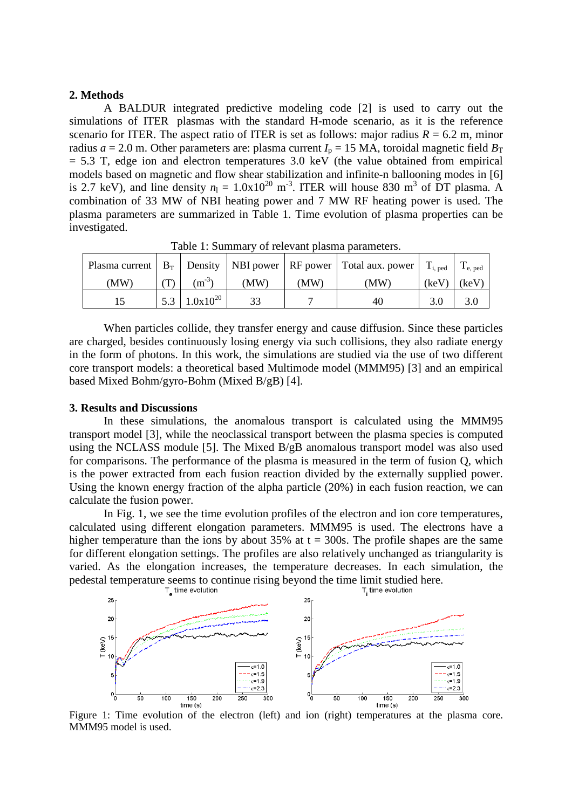### **2. Methods**

A BALDUR integrated predictive modeling code [2] is used to carry out the simulations of ITER plasmas with the standard H-mode scenario, as it is the reference scenario for ITER. The aspect ratio of ITER is set as follows: major radius  $R = 6.2$  m, minor radius  $a = 2.0$  m. Other parameters are: plasma current  $I_p = 15$  MA, toroidal magnetic field  $B_T$  $= 5.3$  T, edge ion and electron temperatures 3.0 keV (the value obtained from empirical models based on magnetic and flow shear stabilization and infinite-n ballooning modes in [6] is 2.7 keV), and line density  $n_1 = 1.0 \times 10^{20}$  m<sup>-3</sup>. ITER will house 830 m<sup>3</sup> of DT plasma. A combination of 33 MW of NBI heating power and 7 MW RF heating power is used. The plasma parameters are summarized in Table 1. Time evolution of plasma properties can be investigated.

|      |               |      |      | Plasma current   $B_T$   Density   NBI power   RF power   Total aux. power   $T_{i, \text{ped}}$ |       | $\mathbf{I}_{e, \text{ ped}}$ |
|------|---------------|------|------|--------------------------------------------------------------------------------------------------|-------|-------------------------------|
| (MW) | $(m^{-3})$    | (MW) | (MW) | (MW)                                                                                             | (keV) | (keV)                         |
|      | $1.0x10^{20}$ |      |      |                                                                                                  |       |                               |

Table 1: Summary of relevant plasma parameters.

When particles collide, they transfer energy and cause diffusion. Since these particles are charged, besides continuously losing energy via such collisions, they also radiate energy in the form of photons. In this work, the simulations are studied via the use of two different core transport models: a theoretical based Multimode model (MMM95) [3] and an empirical based Mixed Bohm/gyro-Bohm (Mixed B/gB) [4].

### **3. Results and Discussions**

In these simulations, the anomalous transport is calculated using the MMM95 transport model [3], while the neoclassical transport between the plasma species is computed using the NCLASS module [5]. The Mixed B/gB anomalous transport model was also used for comparisons. The performance of the plasma is measured in the term of fusion Q, which is the power extracted from each fusion reaction divided by the externally supplied power. Using the known energy fraction of the alpha particle (20%) in each fusion reaction, we can calculate the fusion power.

In Fig. 1, we see the time evolution profiles of the electron and ion core temperatures, calculated using different elongation parameters. MMM95 is used. The electrons have a higher temperature than the ions by about 35% at  $t = 300s$ . The profile shapes are the same for different elongation settings. The profiles are also relatively unchanged as triangularity is varied. As the elongation increases, the temperature decreases. In each simulation, the pedestal temperature seems to continue rising beyond the time limit studied here.



Figure 1: Time evolution of the electron (left) and ion (right) temperatures at the plasma core. MMM95 model is used.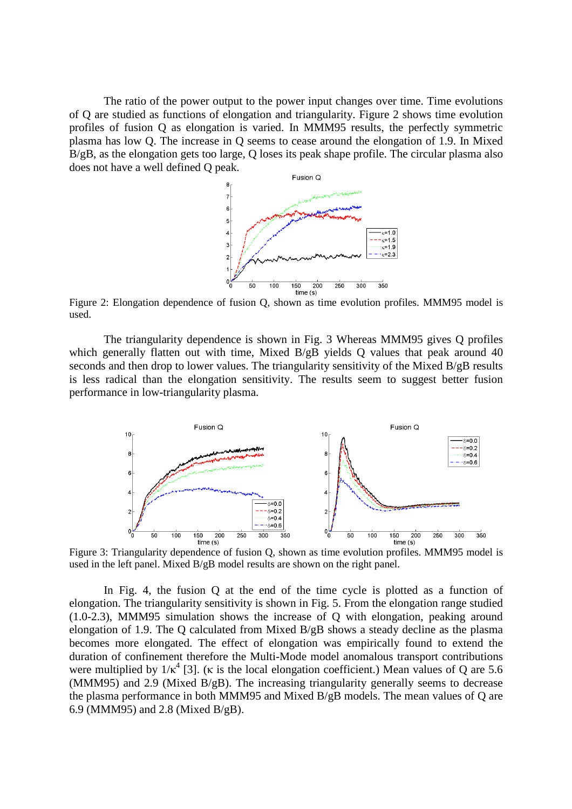The ratio of the power output to the power input changes over time. Time evolutions of Q are studied as functions of elongation and triangularity. Figure 2 shows time evolution profiles of fusion Q as elongation is varied. In MMM95 results, the perfectly symmetric plasma has low Q. The increase in Q seems to cease around the elongation of 1.9. In Mixed B/gB, as the elongation gets too large, Q loses its peak shape profile. The circular plasma also does not have a well defined Q peak.



Figure 2: Elongation dependence of fusion Q, shown as time evolution profiles. MMM95 model is used.

The triangularity dependence is shown in Fig. 3 Whereas MMM95 gives Q profiles which generally flatten out with time. Mixed B/gB yields O values that peak around 40 seconds and then drop to lower values. The triangularity sensitivity of the Mixed B/gB results is less radical than the elongation sensitivity. The results seem to suggest better fusion performance in low-triangularity plasma.



Figure 3: Triangularity dependence of fusion Q, shown as time evolution profiles. MMM95 model is used in the left panel. Mixed B/gB model results are shown on the right panel.

In Fig. 4, the fusion Q at the end of the time cycle is plotted as a function of elongation. The triangularity sensitivity is shown in Fig. 5. From the elongation range studied (1.0-2.3), MMM95 simulation shows the increase of Q with elongation, peaking around elongation of 1.9. The Q calculated from Mixed B/gB shows a steady decline as the plasma becomes more elongated. The effect of elongation was empirically found to extend the duration of confinement therefore the Multi-Mode model anomalous transport contributions were multiplied by  $1/\kappa^4$  [3]. ( $\kappa$  is the local elongation coefficient.) Mean values of Q are 5.6 (MMM95) and 2.9 (Mixed B/gB). The increasing triangularity generally seems to decrease the plasma performance in both MMM95 and Mixed B/gB models. The mean values of Q are 6.9 (MMM95) and 2.8 (Mixed B/gB).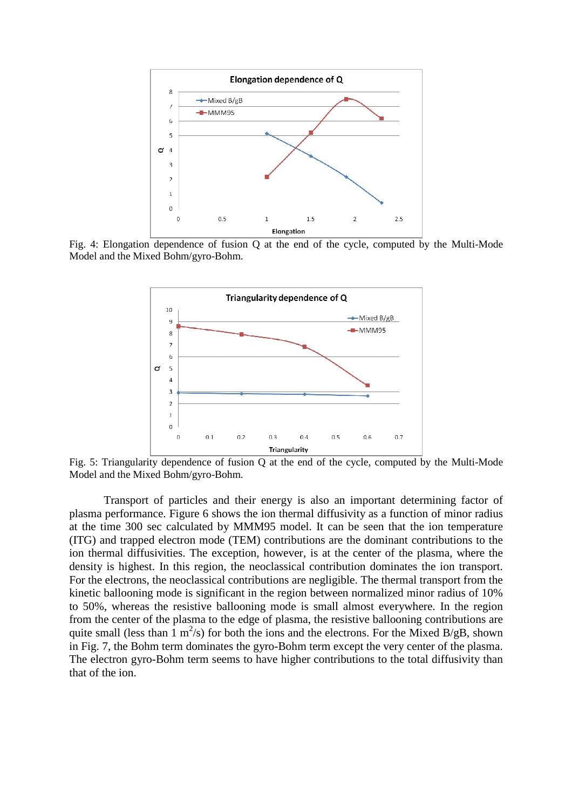

Fig. 4: Elongation dependence of fusion Q at the end of the cycle, computed by the Multi-Mode Model and the Mixed Bohm/gyro-Bohm.



Fig. 5: Triangularity dependence of fusion Q at the end of the cycle, computed by the Multi-Mode Model and the Mixed Bohm/gyro-Bohm.

Transport of particles and their energy is also an important determining factor of plasma performance. Figure 6 shows the ion thermal diffusivity as a function of minor radius at the time 300 sec calculated by MMM95 model. It can be seen that the ion temperature (ITG) and trapped electron mode (TEM) contributions are the dominant contributions to the ion thermal diffusivities. The exception, however, is at the center of the plasma, where the density is highest. In this region, the neoclassical contribution dominates the ion transport. For the electrons, the neoclassical contributions are negligible. The thermal transport from the kinetic ballooning mode is significant in the region between normalized minor radius of 10% to 50%, whereas the resistive ballooning mode is small almost everywhere. In the region from the center of the plasma to the edge of plasma, the resistive ballooning contributions are quite small (less than  $\frac{1}{2}$  m<sup>2</sup>/s) for both the ions and the electrons. For the Mixed B/gB, shown in Fig. 7, the Bohm term dominates the gyro-Bohm term except the very center of the plasma. The electron gyro-Bohm term seems to have higher contributions to the total diffusivity than that of the ion.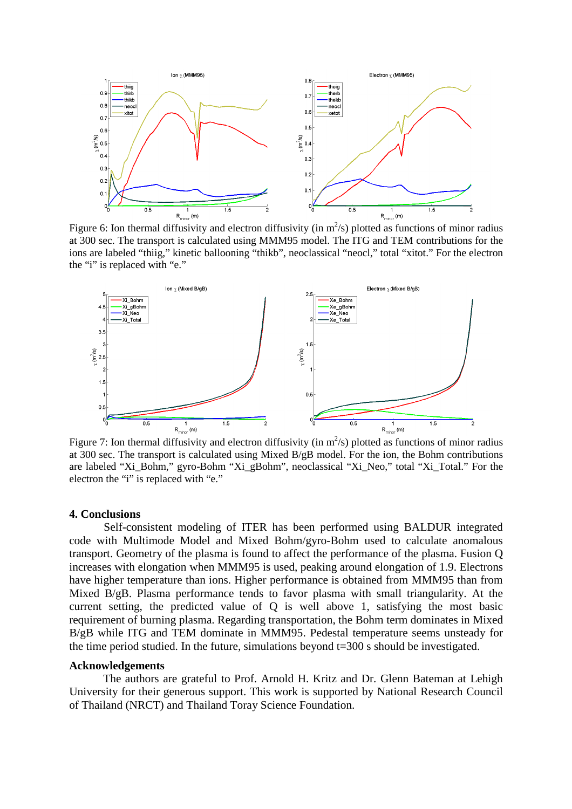

Figure 6: Ion thermal diffusivity and electron diffusivity (in  $m^2/s$ ) plotted as functions of minor radius at 300 sec. The transport is calculated using MMM95 model. The ITG and TEM contributions for the ions are labeled "thiig," kinetic ballooning "thikb", neoclassical "neocl," total "xitot." For the electron the "i" is replaced with "e."



Figure 7: Ion thermal diffusivity and electron diffusivity (in  $m^2/s$ ) plotted as functions of minor radius at 300 sec. The transport is calculated using Mixed B/gB model. For the ion, the Bohm contributions are labeled "Xi\_Bohm," gyro-Bohm "Xi\_gBohm", neoclassical "Xi\_Neo," total "Xi\_Total." For the electron the "i" is replaced with "e."

#### **4. Conclusions**

Self-consistent modeling of ITER has been performed using BALDUR integrated code with Multimode Model and Mixed Bohm/gyro-Bohm used to calculate anomalous transport. Geometry of the plasma is found to affect the performance of the plasma. Fusion Q increases with elongation when MMM95 is used, peaking around elongation of 1.9. Electrons have higher temperature than ions. Higher performance is obtained from MMM95 than from Mixed B/gB. Plasma performance tends to favor plasma with small triangularity. At the current setting, the predicted value of Q is well above 1, satisfying the most basic requirement of burning plasma. Regarding transportation, the Bohm term dominates in Mixed B/gB while ITG and TEM dominate in MMM95. Pedestal temperature seems unsteady for the time period studied. In the future, simulations beyond t=300 s should be investigated.

#### **Acknowledgements**

The authors are grateful to Prof. Arnold H. Kritz and Dr. Glenn Bateman at Lehigh University for their generous support. This work is supported by National Research Council of Thailand (NRCT) and Thailand Toray Science Foundation.